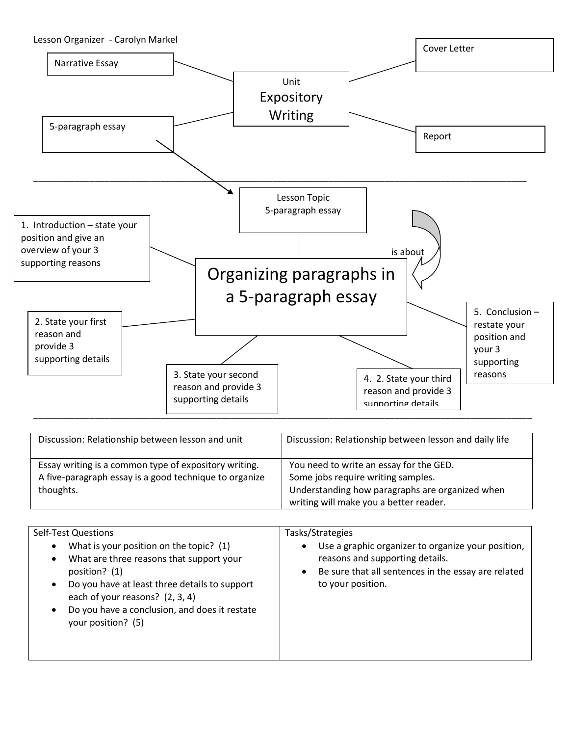

| Discussion: Relationship between lesson and unit                                                                             | Discussion: Relationship between lesson and daily life                                                                                                                     |
|------------------------------------------------------------------------------------------------------------------------------|----------------------------------------------------------------------------------------------------------------------------------------------------------------------------|
| Essay writing is a common type of expository writing.<br>A five-paragraph essay is a good technique to organize<br>thoughts. | You need to write an essay for the GED.<br>Some jobs require writing samples.<br>Understanding how paragraphs are organized when<br>writing will make you a better reader. |

| <b>Self-Test Questions</b><br>What is your position on the topic? (1)<br>$\bullet$<br>What are three reasons that support your<br>$\bullet$<br>position? (1)<br>Do you have at least three details to support<br>$\bullet$<br>each of your reasons? (2, 3, 4)<br>Do you have a conclusion, and does it restate<br>$\bullet$<br>your position? (5) | Tasks/Strategies<br>Use a graphic organizer to organize your position,<br>٠<br>reasons and supporting details.<br>Be sure that all sentences in the essay are related<br>$\bullet$<br>to your position. |
|---------------------------------------------------------------------------------------------------------------------------------------------------------------------------------------------------------------------------------------------------------------------------------------------------------------------------------------------------|---------------------------------------------------------------------------------------------------------------------------------------------------------------------------------------------------------|
|                                                                                                                                                                                                                                                                                                                                                   |                                                                                                                                                                                                         |